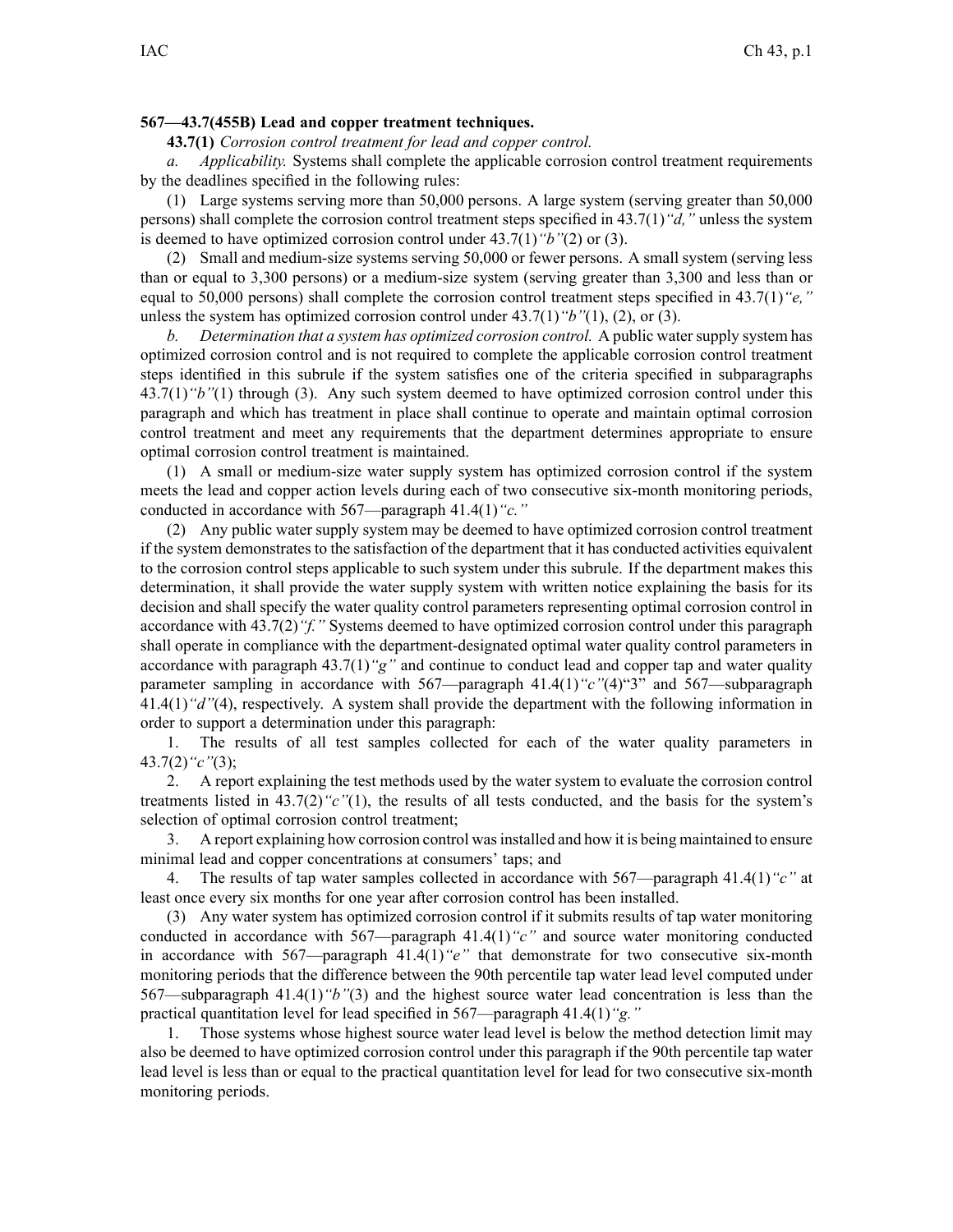## **567—43.7(455B) Lead and copper treatment techniques.**

**43.7(1)** *Corrosion control treatment for lead and copper control.*

*a. Applicability.* Systems shall complete the applicable corrosion control treatment requirements by the deadlines specified in the following rules:

(1) Large systems serving more than 50,000 persons. A large system (serving greater than 50,000 persons) shall complete the corrosion control treatment steps specified in 43.7(1)*"d,"* unless the system is deemed to have optimized corrosion control under 43.7(1)*"b"*(2) or (3).

(2) Small and medium-size systems serving 50,000 or fewer persons. A small system (serving less than or equal to 3,300 persons) or <sup>a</sup> medium-size system (serving greater than 3,300 and less than or equal to 50,000 persons) shall complete the corrosion control treatment steps specified in 43.7(1)*"e,"* unless the system has optimized corrosion control under 43.7(1)*"b"*(1), (2), or (3).

*b. Determination that <sup>a</sup> system has optimized corrosion control.* A public watersupply system has optimized corrosion control and is not required to complete the applicable corrosion control treatment steps identified in this subrule if the system satisfies one of the criteria specified in subparagraphs 43.7(1)*"b"*(1) through (3). Any such system deemed to have optimized corrosion control under this paragraph and which has treatment in place shall continue to operate and maintain optimal corrosion control treatment and meet any requirements that the department determines appropriate to ensure optimal corrosion control treatment is maintained.

(1) A small or medium-size water supply system has optimized corrosion control if the system meets the lead and copper action levels during each of two consecutive six-month monitoring periods, conducted in accordance with 567—paragraph 41.4(1)*"c."*

(2) Any public water supply system may be deemed to have optimized corrosion control treatment if the system demonstrates to the satisfaction of the department that it has conducted activities equivalent to the corrosion control steps applicable to such system under this subrule. If the department makes this determination, it shall provide the water supply system with written notice explaining the basis for its decision and shall specify the water quality control parameters representing optimal corrosion control in accordance with 43.7(2)*"f."* Systems deemed to have optimized corrosion control under this paragraph shall operate in compliance with the department-designated optimal water quality control parameters in accordance with paragraph 43.7(1)*"g"* and continue to conduct lead and copper tap and water quality parameter sampling in accordance with 567—paragraph 41.4(1)*"c"*(4)"3" and 567—subparagraph 41.4(1)*"d"*(4), respectively. A system shall provide the department with the following information in order to suppor<sup>t</sup> <sup>a</sup> determination under this paragraph:

1. The results of all test samples collected for each of the water quality parameters in 43.7(2)*"c"*(3);

2. A repor<sup>t</sup> explaining the test methods used by the water system to evaluate the corrosion control treatments listed in 43.7(2)*"c"*(1), the results of all tests conducted, and the basis for the system's selection of optimal corrosion control treatment;

3. A repor<sup>t</sup> explaining how corrosion control wasinstalled and how it is being maintained to ensure minimal lead and copper concentrations at consumers' taps; and

4. The results of tap water samples collected in accordance with 567—paragraph 41.4(1)*"c"* at least once every six months for one year after corrosion control has been installed.

(3) Any water system has optimized corrosion control if it submits results of tap water monitoring conducted in accordance with 567—paragraph 41.4(1)*"c"* and source water monitoring conducted in accordance with 567—paragraph 41.4(1)*"e"* that demonstrate for two consecutive six-month monitoring periods that the difference between the 90th percentile tap water lead level computed under 567—subparagraph 41.4(1)*"b"*(3) and the highest source water lead concentration is less than the practical quantitation level for lead specified in 567—paragraph 41.4(1)*"g."*

1. Those systems whose highest source water lead level is below the method detection limit may also be deemed to have optimized corrosion control under this paragraph if the 90th percentile tap water lead level is less than or equal to the practical quantitation level for lead for two consecutive six-month monitoring periods.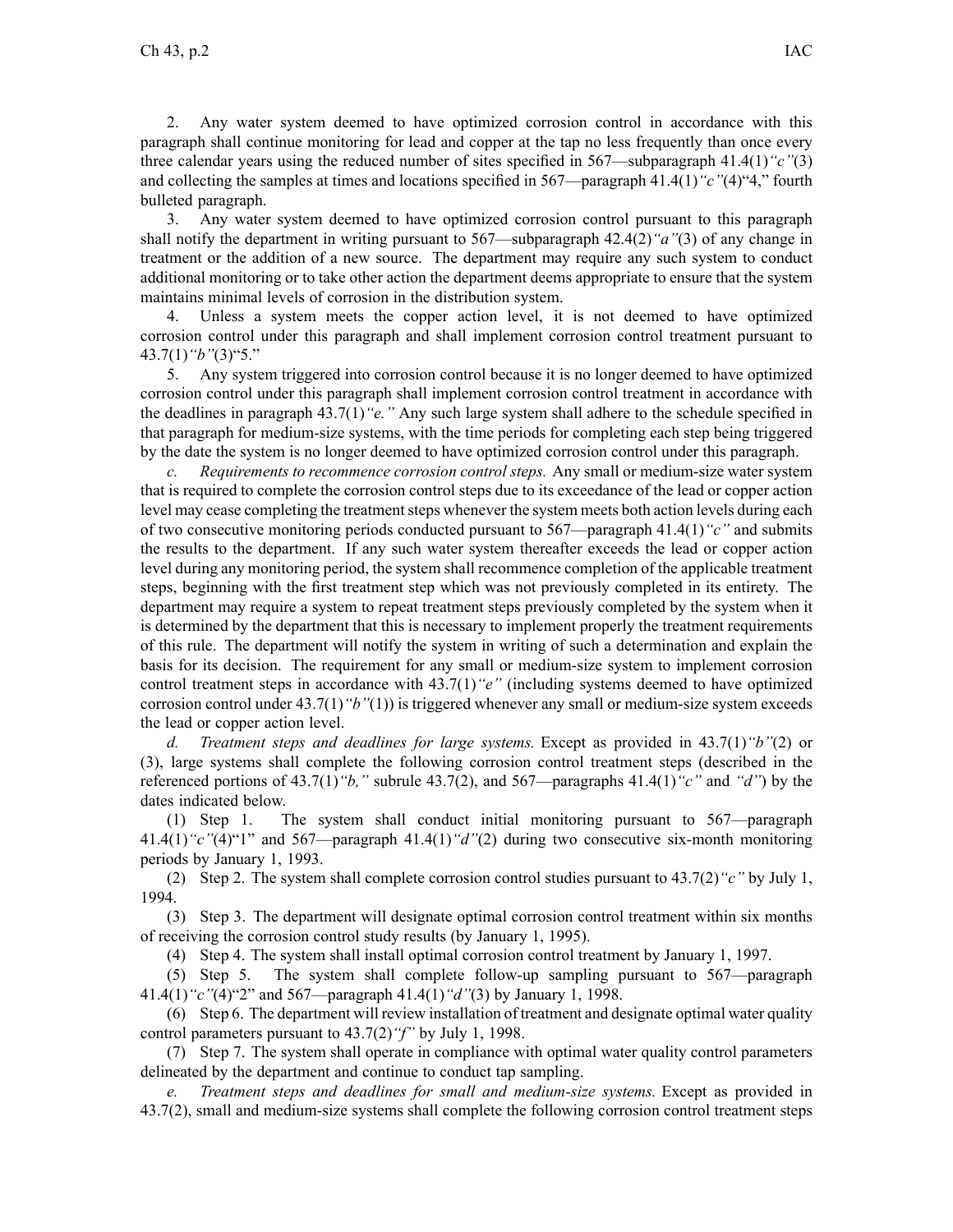2. Any water system deemed to have optimized corrosion control in accordance with this paragraph shall continue monitoring for lead and copper at the tap no less frequently than once every three calendar years using the reduced number of sites specified in 567—subparagraph 41.4(1)*"c"*(3) and collecting the samples at times and locations specified in 567—paragraph 41.4(1)*"c"*(4)"4," fourth bulleted paragraph.

3. Any water system deemed to have optimized corrosion control pursuan<sup>t</sup> to this paragraph shall notify the department in writing pursuan<sup>t</sup> to 567—subparagraph 42.4(2)*"a"*(3) of any change in treatment or the addition of <sup>a</sup> new source. The department may require any such system to conduct additional monitoring or to take other action the department deems appropriate to ensure that the system maintains minimal levels of corrosion in the distribution system.

Unless a system meets the copper action level, it is not deemed to have optimized corrosion control under this paragraph and shall implement corrosion control treatment pursuan<sup>t</sup> to 43.7(1)*"b"*(3)"5."

5. Any system triggered into corrosion control because it is no longer deemed to have optimized corrosion control under this paragraph shall implement corrosion control treatment in accordance with the deadlines in paragraph 43.7(1)*"e."* Any such large system shall adhere to the schedule specified in that paragraph for medium-size systems, with the time periods for completing each step being triggered by the date the system is no longer deemed to have optimized corrosion control under this paragraph.

*c. Requirements to recommence corrosion control steps.* Any small or medium-size water system that is required to complete the corrosion control steps due to its exceedance of the lead or copper action level may cease completing the treatment steps whenever the system meets both action levels during each of two consecutive monitoring periods conducted pursuan<sup>t</sup> to 567—paragraph 41.4(1)*"c"* and submits the results to the department. If any such water system thereafter exceeds the lead or copper action level during any monitoring period, the system shall recommence completion of the applicable treatment steps, beginning with the first treatment step which was not previously completed in its entirety. The department may require <sup>a</sup> system to repea<sup>t</sup> treatment steps previously completed by the system when it is determined by the department that this is necessary to implement properly the treatment requirements of this rule. The department will notify the system in writing of such <sup>a</sup> determination and explain the basis for its decision. The requirement for any small or medium-size system to implement corrosion control treatment steps in accordance with 43.7(1)*"e"* (including systems deemed to have optimized corrosion control under 43.7(1)*"b"*(1)) is triggered whenever any small or medium-size system exceeds the lead or copper action level.

*d. Treatment steps and deadlines for large systems.* Except as provided in 43.7(1)*"b"*(2) or (3), large systems shall complete the following corrosion control treatment steps (described in the referenced portions of 43.7(1)*"b,"* subrule 43.7(2), and 567—paragraphs 41.4(1)*"c"* and *"d"*) by the dates indicated below.

(1) Step 1. The system shall conduct initial monitoring pursuan<sup>t</sup> to 567—paragraph 41.4(1)*"c"*(4)"1" and 567—paragraph 41.4(1)*"d"*(2) during two consecutive six-month monitoring periods by January 1, 1993.

(2) Step 2. The system shall complete corrosion control studies pursuan<sup>t</sup> to 43.7(2)*"c"* by July 1, 1994.

(3) Step 3. The department will designate optimal corrosion control treatment within six months of receiving the corrosion control study results (by January 1, 1995).

(4) Step 4. The system shall install optimal corrosion control treatment by January 1, 1997.

(5) Step 5. The system shall complete follow-up sampling pursuan<sup>t</sup> to 567—paragraph 41.4(1)*"c"*(4)"2" and 567—paragraph 41.4(1)*"d"*(3) by January 1, 1998.

(6) Step 6. The department will review installation of treatment and designate optimal water quality control parameters pursuan<sup>t</sup> to 43.7(2)*"f"* by July 1, 1998.

(7) Step 7. The system shall operate in compliance with optimal water quality control parameters delineated by the department and continue to conduct tap sampling.

*e. Treatment steps and deadlines for small and medium-size systems.* Except as provided in 43.7(2), small and medium-size systems shall complete the following corrosion control treatment steps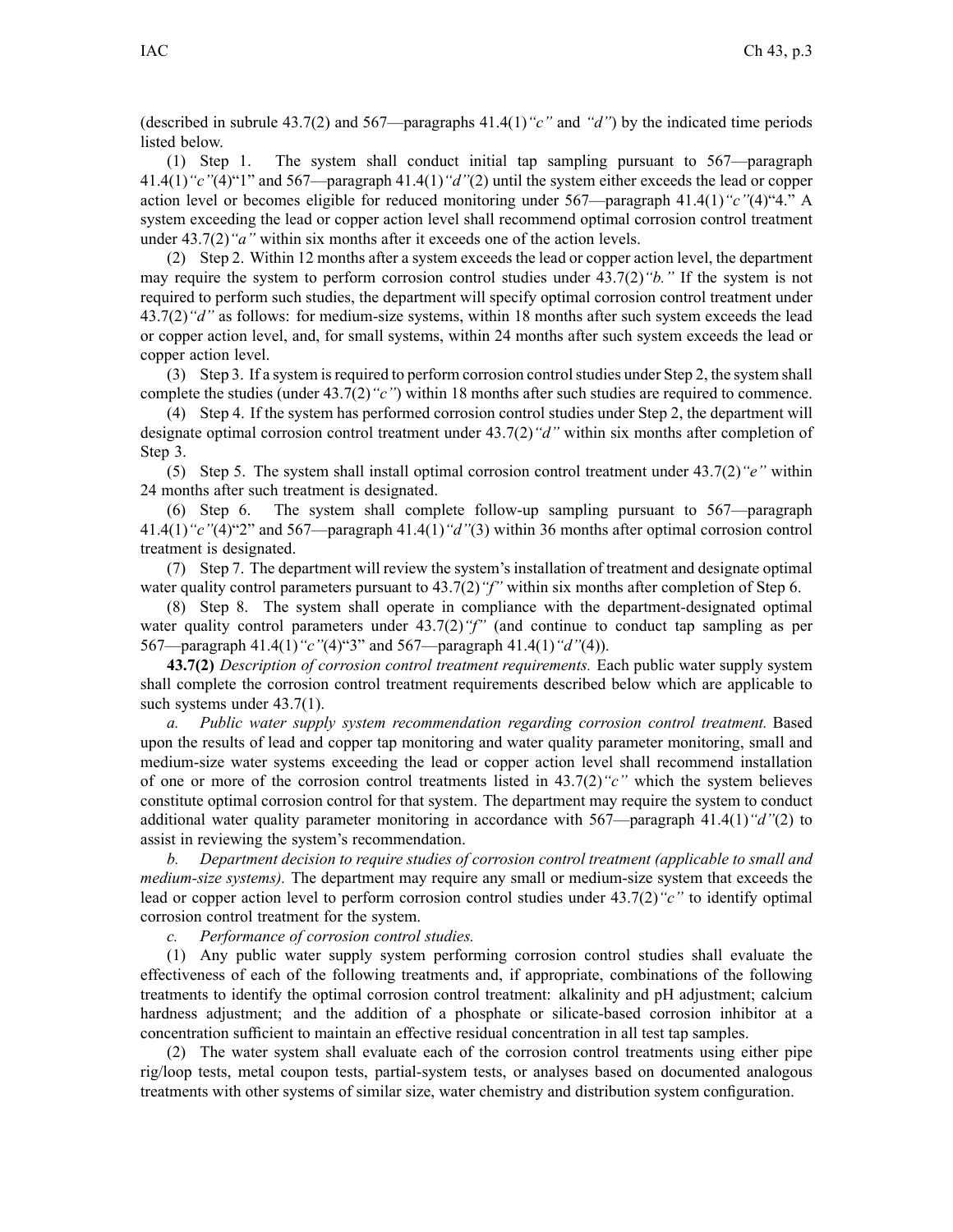(described in subrule 43.7(2) and 567—paragraphs 41.4(1)*"c"* and *"d"*) by the indicated time periods listed below.

(1) Step 1. The system shall conduct initial tap sampling pursuan<sup>t</sup> to 567—paragraph 41.4(1)*"c"*(4)"1" and 567—paragraph 41.4(1)*"d"*(2) until the system either exceeds the lead or copper action level or becomes eligible for reduced monitoring under 567—paragraph 41.4(1)*"c"*(4)"4." A system exceeding the lead or copper action level shall recommend optimal corrosion control treatment under 43.7(2)*"a"* within six months after it exceeds one of the action levels.

(2) Step 2. Within 12 months after <sup>a</sup> system exceeds the lead or copper action level, the department may require the system to perform corrosion control studies under 43.7(2)*"b."* If the system is not required to perform such studies, the department will specify optimal corrosion control treatment under 43.7(2)*"d"* as follows: for medium-size systems, within 18 months after such system exceeds the lead or copper action level, and, for small systems, within 24 months after such system exceeds the lead or copper action level.

(3) Step 3. If <sup>a</sup> system isrequired to perform corrosion controlstudies under Step 2, the system shall complete the studies (under 43.7(2)*"c"*) within 18 months after such studies are required to commence.

(4) Step 4. If the system has performed corrosion control studies under Step 2, the department will designate optimal corrosion control treatment under 43.7(2)*"d"* within six months after completion of Step 3.

(5) Step 5. The system shall install optimal corrosion control treatment under 43.7(2)*"e"* within 24 months after such treatment is designated.

(6) Step 6. The system shall complete follow-up sampling pursuan<sup>t</sup> to 567—paragraph 41.4(1)*"c"*(4)"2" and 567—paragraph 41.4(1)*"d"*(3) within 36 months after optimal corrosion control treatment is designated.

(7) Step 7. The department will review the system's installation of treatment and designate optimal water quality control parameters pursuan<sup>t</sup> to 43.7(2)*"f"* within six months after completion of Step 6.

(8) Step 8. The system shall operate in compliance with the department*-*designated optimal water quality control parameters under 43.7(2)*"f"* (and continue to conduct tap sampling as per 567—paragraph 41.4(1)*"c"*(4)"3" and 567—paragraph 41.4(1)*"d"*(4)).

**43.7(2)** *Description of corrosion control treatment requirements.* Each public water supply system shall complete the corrosion control treatment requirements described below which are applicable to such systems under  $43.7(1)$ .

*a. Public water supply system recommendation regarding corrosion control treatment.* Based upon the results of lead and copper tap monitoring and water quality parameter monitoring, small and medium-size water systems exceeding the lead or copper action level shall recommend installation of one or more of the corrosion control treatments listed in 43.7(2)*"c"* which the system believes constitute optimal corrosion control for that system. The department may require the system to conduct additional water quality parameter monitoring in accordance with 567—paragraph 41.4(1)*"d"*(2) to assist in reviewing the system's recommendation.

*b. Department decision to require studies of corrosion control treatment (applicable to small and medium-size systems).* The department may require any small or medium-size system that exceeds the lead or copper action level to perform corrosion control studies under 43.7(2)*"c"* to identify optimal corrosion control treatment for the system.

*c. Performance of corrosion control studies.*

(1) Any public water supply system performing corrosion control studies shall evaluate the effectiveness of each of the following treatments and, if appropriate, combinations of the following treatments to identify the optimal corrosion control treatment: alkalinity and pH adjustment; calcium hardness adjustment; and the addition of a phosphate or silicate-based corrosion inhibitor at a concentration sufficient to maintain an effective residual concentration in all test tap samples.

(2) The water system shall evaluate each of the corrosion control treatments using either pipe rig/loop tests, metal coupon tests, partial-system tests, or analyses based on documented analogous treatments with other systems of similar size, water chemistry and distribution system configuration.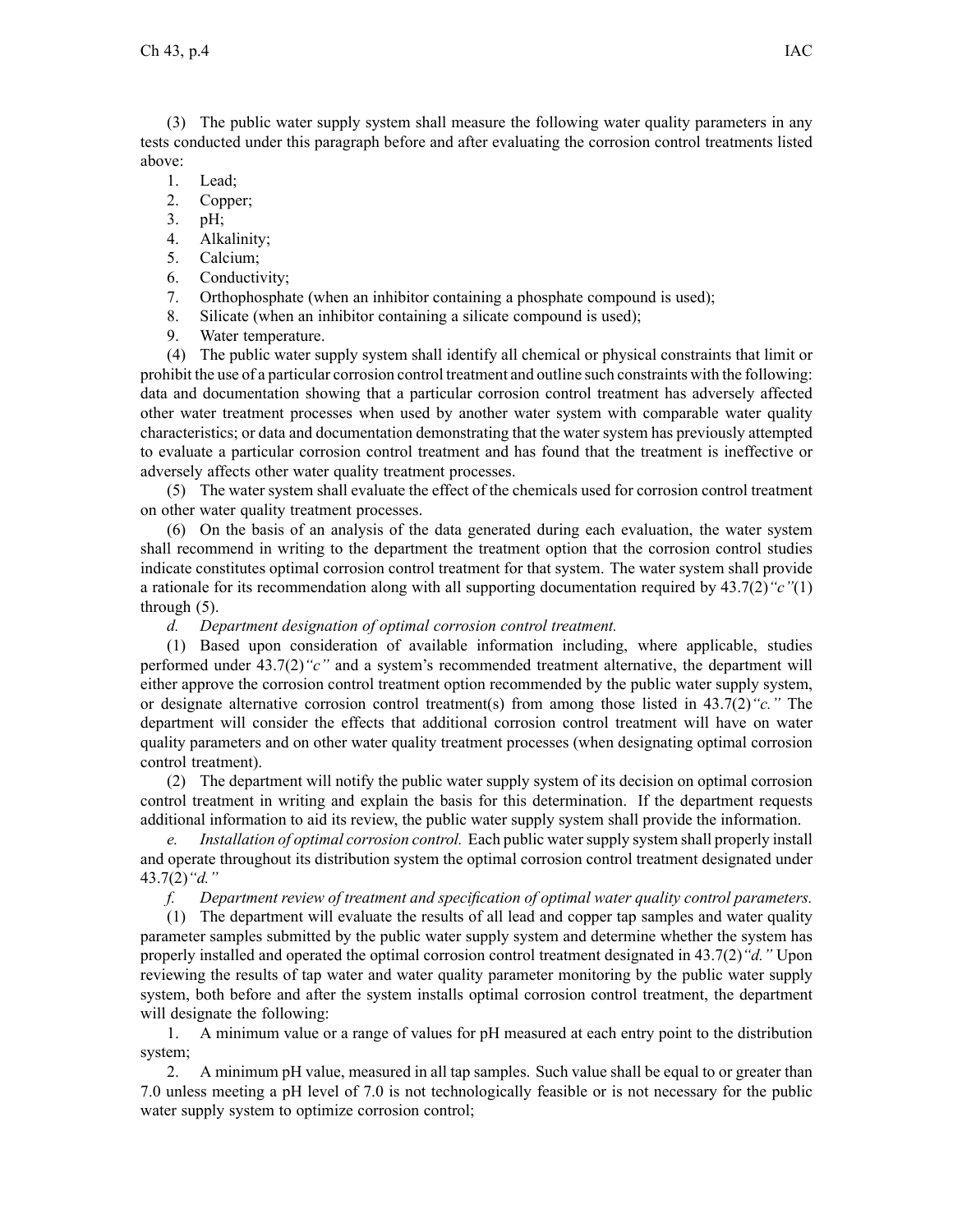(3) The public water supply system shall measure the following water quality parameters in any tests conducted under this paragraph before and after evaluating the corrosion control treatments listed above:

- 1. Lead;
- 2. Copper;
- 3. pH;
- 4. Alkalinity;
- 5. Calcium;
- 6. Conductivity;
- 7. Orthophosphate (when an inhibitor containing <sup>a</sup> phosphate compound is used);
- 8. Silicate (when an inhibitor containing <sup>a</sup> silicate compound is used);
- 9. Water temperature.

(4) The public water supply system shall identify all chemical or physical constraints that limit or prohibit the use of <sup>a</sup> particular corrosion control treatment and outline such constraints with the following: data and documentation showing that <sup>a</sup> particular corrosion control treatment has adversely affected other water treatment processes when used by another water system with comparable water quality characteristics; or data and documentation demonstrating that the water system has previously attempted to evaluate <sup>a</sup> particular corrosion control treatment and has found that the treatment is ineffective or adversely affects other water quality treatment processes.

(5) The water system shall evaluate the effect of the chemicals used for corrosion control treatment on other water quality treatment processes.

(6) On the basis of an analysis of the data generated during each evaluation, the water system shall recommend in writing to the department the treatment option that the corrosion control studies indicate constitutes optimal corrosion control treatment for that system. The water system shall provide <sup>a</sup> rationale for its recommendation along with all supporting documentation required by 43.7(2)*"c"*(1) through (5).

*d. Department designation of optimal corrosion control treatment.*

(1) Based upon consideration of available information including, where applicable, studies performed under 43.7(2)*"c"* and <sup>a</sup> system's recommended treatment alternative, the department will either approve the corrosion control treatment option recommended by the public water supply system, or designate alternative corrosion control treatment(s) from among those listed in 43.7(2)*"c."* The department will consider the effects that additional corrosion control treatment will have on water quality parameters and on other water quality treatment processes (when designating optimal corrosion control treatment).

(2) The department will notify the public water supply system of its decision on optimal corrosion control treatment in writing and explain the basis for this determination. If the department requests additional information to aid its review, the public water supply system shall provide the information.

*e. Installation of optimal corrosion control.* Each public watersupply system shall properly install and operate throughout its distribution system the optimal corrosion control treatment designated under 43.7(2)*"d."*

*f. Department review of treatment and specification of optimal water quality control parameters.*

(1) The department will evaluate the results of all lead and copper tap samples and water quality parameter samples submitted by the public water supply system and determine whether the system has properly installed and operated the optimal corrosion control treatment designated in 43.7(2)*"d."* Upon reviewing the results of tap water and water quality parameter monitoring by the public water supply system, both before and after the system installs optimal corrosion control treatment, the department will designate the following:

1. A minimum value or <sup>a</sup> range of values for pH measured at each entry point to the distribution system;

2. A minimum pH value, measured in all tap samples. Such value shall be equal to or greater than 7.0 unless meeting <sup>a</sup> pH level of 7.0 is not technologically feasible or is not necessary for the public water supply system to optimize corrosion control;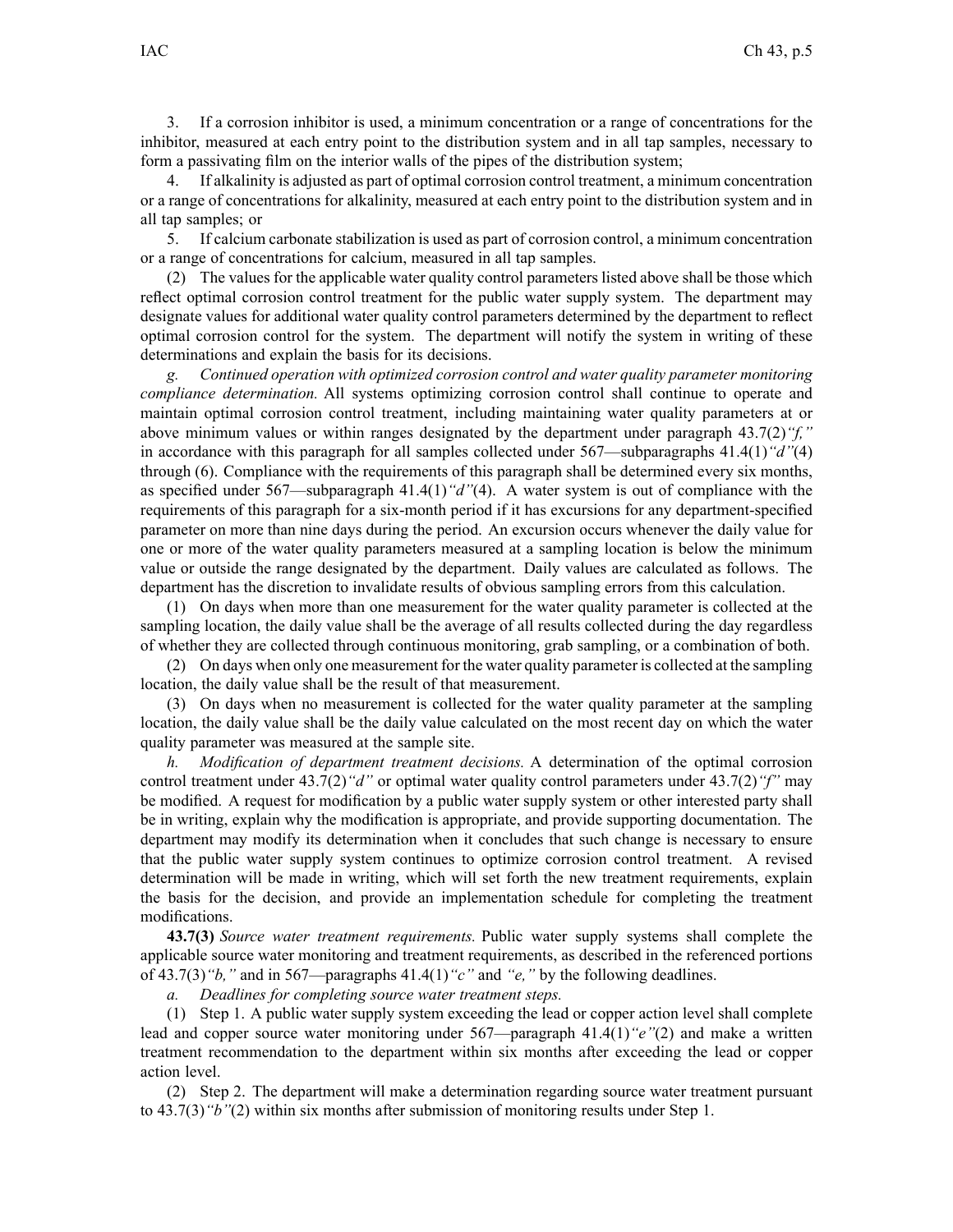3. If <sup>a</sup> corrosion inhibitor is used, <sup>a</sup> minimum concentration or <sup>a</sup> range of concentrations for the inhibitor, measured at each entry point to the distribution system and in all tap samples, necessary to form <sup>a</sup> passivating film on the interior walls of the pipes of the distribution system;

If alkalinity is adjusted as part of optimal corrosion control treatment, a minimum concentration or <sup>a</sup> range of concentrations for alkalinity, measured at each entry point to the distribution system and in all tap samples; or

5. If calcium carbonate stabilization is used as par<sup>t</sup> of corrosion control, <sup>a</sup> minimum concentration or <sup>a</sup> range of concentrations for calcium, measured in all tap samples.

(2) The values for the applicable water quality control parameters listed above shall be those which reflect optimal corrosion control treatment for the public water supply system. The department may designate values for additional water quality control parameters determined by the department to reflect optimal corrosion control for the system. The department will notify the system in writing of these determinations and explain the basis for its decisions.

*g. Continued operation with optimized corrosion control and water quality parameter monitoring compliance determination.* All systems optimizing corrosion control shall continue to operate and maintain optimal corrosion control treatment, including maintaining water quality parameters at or above minimum values or within ranges designated by the department under paragraph 43.7(2)*"f,"* in accordance with this paragraph for all samples collected under 567—subparagraphs 41.4(1)*"d"*(4) through (6). Compliance with the requirements of this paragraph shall be determined every six months, as specified under 567—subparagraph 41.4(1)*"d"*(4). A water system is out of compliance with the requirements of this paragraph for <sup>a</sup> six-month period if it has excursions for any department-specified parameter on more than nine days during the period. An excursion occurs whenever the daily value for one or more of the water quality parameters measured at <sup>a</sup> sampling location is below the minimum value or outside the range designated by the department. Daily values are calculated as follows. The department has the discretion to invalidate results of obvious sampling errors from this calculation.

(1) On days when more than one measurement for the water quality parameter is collected at the sampling location, the daily value shall be the average of all results collected during the day regardless of whether they are collected through continuous monitoring, grab sampling, or <sup>a</sup> combination of both.

(2) On days when only one measurement for the water quality parameter is collected at the sampling location, the daily value shall be the result of that measurement.

(3) On days when no measurement is collected for the water quality parameter at the sampling location, the daily value shall be the daily value calculated on the most recent day on which the water quality parameter was measured at the sample site.

*h. Modification of department treatment decisions.* A determination of the optimal corrosion control treatment under 43.7(2)*"d"* or optimal water quality control parameters under 43.7(2)*"f"* may be modified. A reques<sup>t</sup> for modification by <sup>a</sup> public water supply system or other interested party shall be in writing, explain why the modification is appropriate, and provide supporting documentation. The department may modify its determination when it concludes that such change is necessary to ensure that the public water supply system continues to optimize corrosion control treatment. A revised determination will be made in writing, which will set forth the new treatment requirements, explain the basis for the decision, and provide an implementation schedule for completing the treatment modifications.

**43.7(3)** *Source water treatment requirements.* Public water supply systems shall complete the applicable source water monitoring and treatment requirements, as described in the referenced portions of 43.7(3)*"b,"* and in 567—paragraphs 41.4(1)*"c"* and *"e,"* by the following deadlines.

*a. Deadlines for completing source water treatment steps.*

(1) Step 1. A public water supply system exceeding the lead or copper action level shall complete lead and copper source water monitoring under 567—paragraph 41.4(1)*"e"*(2) and make <sup>a</sup> written treatment recommendation to the department within six months after exceeding the lead or copper action level.

(2) Step 2. The department will make <sup>a</sup> determination regarding source water treatment pursuan<sup>t</sup> to 43.7(3)*"b"*(2) within six months after submission of monitoring results under Step 1.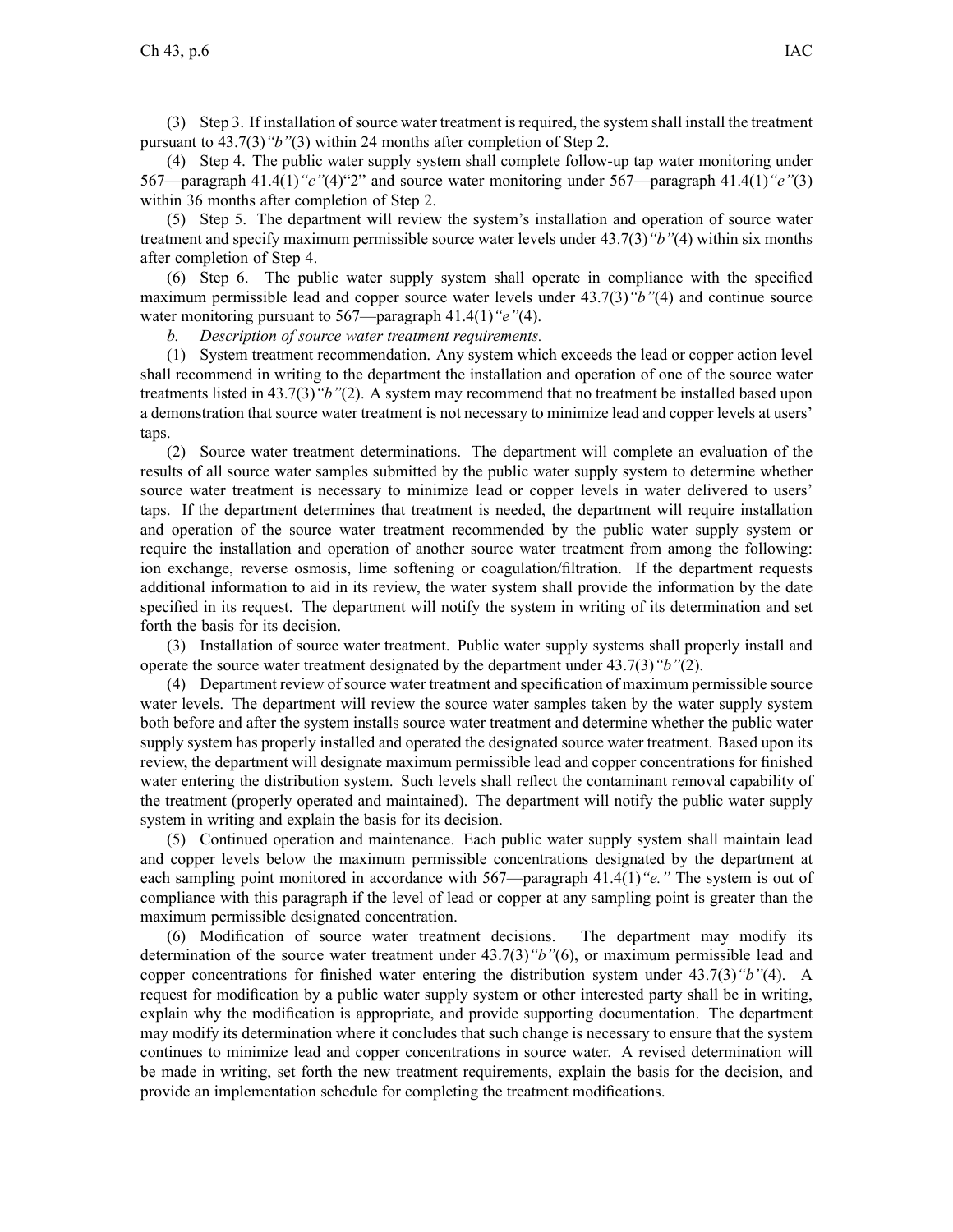(3) Step 3. If installation ofsource water treatment isrequired, the system shall install the treatment pursuan<sup>t</sup> to 43.7(3)*"b"*(3) within 24 months after completion of Step 2.

(4) Step 4. The public water supply system shall complete follow-up tap water monitoring under 567—paragraph 41.4(1)*"c"*(4)"2" and source water monitoring under 567—paragraph 41.4(1)*"e"*(3) within 36 months after completion of Step 2.

(5) Step 5. The department will review the system's installation and operation of source water treatment and specify maximum permissible source water levels under 43.7(3)*"b"*(4) within six months after completion of Step 4.

(6) Step 6. The public water supply system shall operate in compliance with the specified maximum permissible lead and copper source water levels under 43.7(3)*"b"*(4) and continue source water monitoring pursuan<sup>t</sup> to 567—paragraph 41.4(1)*"e"*(4).

*b. Description of source water treatment requirements.*

(1) System treatment recommendation. Any system which exceeds the lead or copper action level shall recommend in writing to the department the installation and operation of one of the source water treatments listed in 43.7(3)*"b"*(2). A system may recommend that no treatment be installed based upon <sup>a</sup> demonstration that source water treatment is not necessary to minimize lead and copper levels at users' taps.

(2) Source water treatment determinations. The department will complete an evaluation of the results of all source water samples submitted by the public water supply system to determine whether source water treatment is necessary to minimize lead or copper levels in water delivered to users' taps. If the department determines that treatment is needed, the department will require installation and operation of the source water treatment recommended by the public water supply system or require the installation and operation of another source water treatment from among the following: ion exchange, reverse osmosis, lime softening or coagulation/filtration. If the department requests additional information to aid in its review, the water system shall provide the information by the date specified in its request. The department will notify the system in writing of its determination and set forth the basis for its decision.

(3) Installation of source water treatment. Public water supply systems shall properly install and operate the source water treatment designated by the department under 43.7(3)*"b"*(2).

(4) Department review of source water treatment and specification of maximum permissible source water levels. The department will review the source water samples taken by the water supply system both before and after the system installs source water treatment and determine whether the public water supply system has properly installed and operated the designated source water treatment. Based upon its review, the department will designate maximum permissible lead and copper concentrations for finished water entering the distribution system. Such levels shall reflect the contaminant removal capability of the treatment (properly operated and maintained). The department will notify the public water supply system in writing and explain the basis for its decision.

(5) Continued operation and maintenance. Each public water supply system shall maintain lead and copper levels below the maximum permissible concentrations designated by the department at each sampling point monitored in accordance with 567—paragraph 41.4(1)*"e."* The system is out of compliance with this paragraph if the level of lead or copper at any sampling point is greater than the maximum permissible designated concentration.

(6) Modification of source water treatment decisions. The department may modify its determination of the source water treatment under 43.7(3)*"b"*(6), or maximum permissible lead and copper concentrations for finished water entering the distribution system under 43.7(3)*"b"*(4). A reques<sup>t</sup> for modification by <sup>a</sup> public water supply system or other interested party shall be in writing, explain why the modification is appropriate, and provide supporting documentation. The department may modify its determination where it concludes that such change is necessary to ensure that the system continues to minimize lead and copper concentrations in source water. A revised determination will be made in writing, set forth the new treatment requirements, explain the basis for the decision, and provide an implementation schedule for completing the treatment modifications.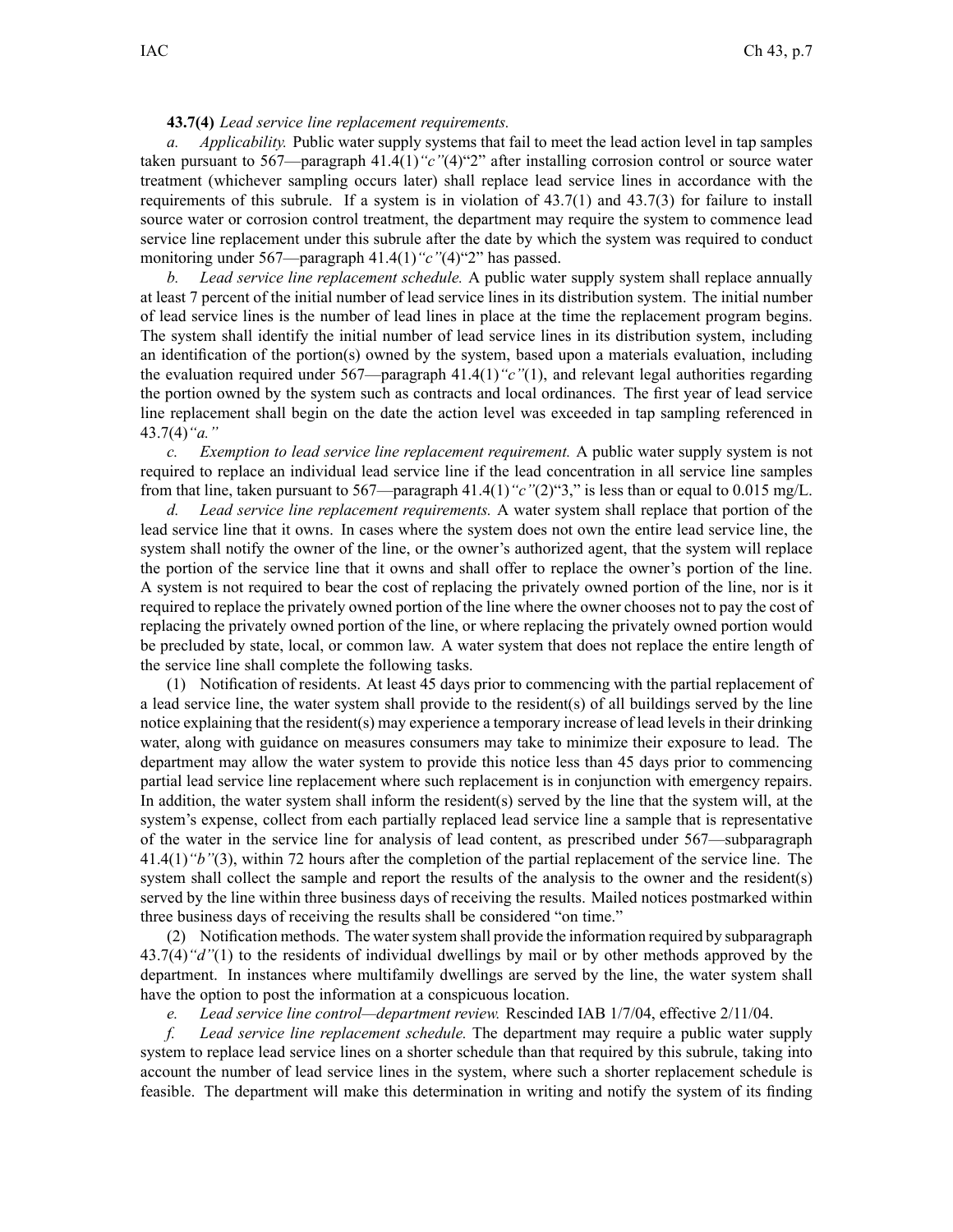## **43.7(4)** *Lead service line replacement requirements.*

*a. Applicability.* Public water supply systems that fail to meet the lead action level in tap samples taken pursuan<sup>t</sup> to 567—paragraph 41.4(1)*"c"*(4)"2" after installing corrosion control or source water treatment (whichever sampling occurs later) shall replace lead service lines in accordance with the requirements of this subrule. If <sup>a</sup> system is in violation of 43.7(1) and 43.7(3) for failure to install source water or corrosion control treatment, the department may require the system to commence lead service line replacement under this subrule after the date by which the system was required to conduct monitoring under 567—paragraph 41.4(1) "c"(4) <sup>or</sup>2" has passed.

*b. Lead service line replacement schedule.* A public water supply system shall replace annually at least 7 percen<sup>t</sup> of the initial number of lead service lines in its distribution system. The initial number of lead service lines is the number of lead lines in place at the time the replacement program begins. The system shall identify the initial number of lead service lines in its distribution system, including an identification of the portion(s) owned by the system, based upon <sup>a</sup> materials evaluation, including the evaluation required under 567—paragraph 41.4(1)*"c"*(1), and relevant legal authorities regarding the portion owned by the system such as contracts and local ordinances. The first year of lead service line replacement shall begin on the date the action level was exceeded in tap sampling referenced in 43.7(4)*"a."*

*c. Exemption to lead service line replacement requirement.* A public water supply system is not required to replace an individual lead service line if the lead concentration in all service line samples from that line, taken pursuan<sup>t</sup> to 567—paragraph 41.4(1)*"c"*(2)"3," is less than or equal to 0.015 mg/L.

*d. Lead service line replacement requirements.* A water system shall replace that portion of the lead service line that it owns. In cases where the system does not own the entire lead service line, the system shall notify the owner of the line, or the owner's authorized agent, that the system will replace the portion of the service line that it owns and shall offer to replace the owner's portion of the line. A system is not required to bear the cost of replacing the privately owned portion of the line, nor is it required to replace the privately owned portion of the line where the owner chooses not to pay the cost of replacing the privately owned portion of the line, or where replacing the privately owned portion would be precluded by state, local, or common law. A water system that does not replace the entire length of the service line shall complete the following tasks.

(1) Notification of residents. At least 45 days prior to commencing with the partial replacement of <sup>a</sup> lead service line, the water system shall provide to the resident(s) of all buildings served by the line notice explaining that the resident(s) may experience <sup>a</sup> temporary increase of lead levels in their drinking water, along with guidance on measures consumers may take to minimize their exposure to lead. The department may allow the water system to provide this notice less than 45 days prior to commencing partial lead service line replacement where such replacement is in conjunction with emergency repairs. In addition, the water system shall inform the resident(s) served by the line that the system will, at the system's expense, collect from each partially replaced lead service line <sup>a</sup> sample that is representative of the water in the service line for analysis of lead content, as prescribed under 567—subparagraph 41.4(1)*"b"*(3), within 72 hours after the completion of the partial replacement of the service line. The system shall collect the sample and repor<sup>t</sup> the results of the analysis to the owner and the resident(s) served by the line within three business days of receiving the results. Mailed notices postmarked within three business days of receiving the results shall be considered "on time."

(2) Notification methods. The watersystem shall provide the information required by subparagraph 43.7(4)*"d"*(1) to the residents of individual dwellings by mail or by other methods approved by the department. In instances where multifamily dwellings are served by the line, the water system shall have the option to pos<sup>t</sup> the information at <sup>a</sup> conspicuous location.

*e. Lead service line control—department review.* Rescinded IAB 1/7/04, effective 2/11/04.

*f. Lead service line replacement schedule.* The department may require <sup>a</sup> public water supply system to replace lead service lines on <sup>a</sup> shorter schedule than that required by this subrule, taking into account the number of lead service lines in the system, where such <sup>a</sup> shorter replacement schedule is feasible. The department will make this determination in writing and notify the system of its finding